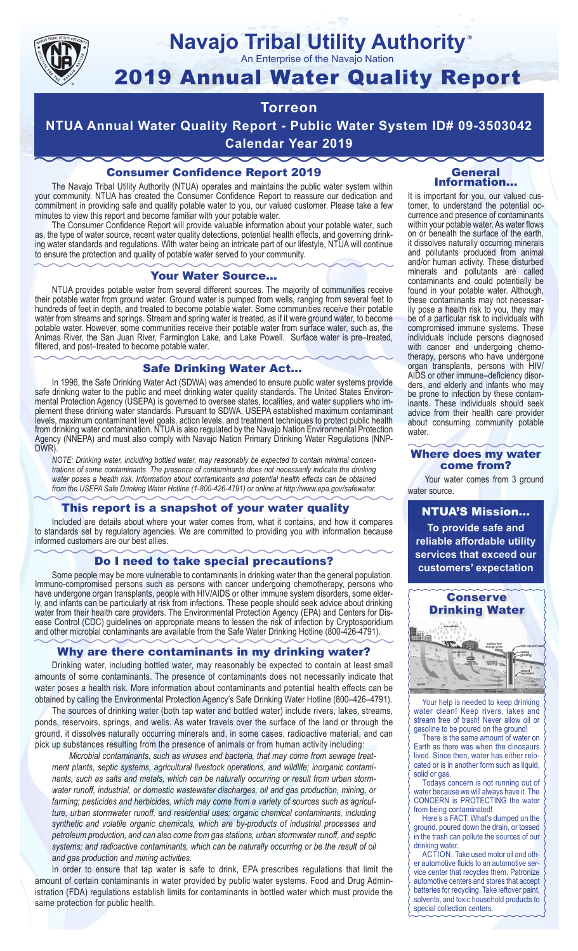

# **Navajo Tribal Utility Authority**

An Enterprise of the Navajo Nation

## 2019 Annual Water Quality Report

### **Torreon**

**NTUA Annual Water Quality Report - Public Water System ID# 09-3503042 Calendar Year 2019**

### Consumer Confidence Report 2019

The Navajo Tribal Utility Authority (NTUA) operates and maintains the public water system within your community. NTUA has created the Consumer Confidence Report to reassure our dedication and commitment in providing safe and quality potable water to you, our valued customer. Please take a few minutes to view this report and become familiar with your potable water.

The Consumer Confidence Report will provide valuable information about your potable water, such as, the type of water source, recent water quality detections, potential health effects, and governing drinking water standards and regulations. With water being an intricate part of our lifestyle, NTUA will continue to ensure the protection and quality of potable water served to your community.

#### Your Water Source…

NTUA provides potable water from several different sources. The majority of communities receive their potable water from ground water. Ground water is pumped from wells, ranging from several feet to hundreds of feet in depth, and treated to become potable water. Some communities receive their potable water from streams and springs. Stream and spring water is treated, as if it were ground water, to become potable water. However, some communities receive their potable water from surface water, such as, the Animas River, the San Juan River, Farmington Lake, and Lake Powell. Surface water is pre–treated, filtered, and post–treated to become potable water.

#### Safe Drinking Water Act…

In 1996, the Safe Drinking Water Act (SDWA) was amended to ensure public water systems provide safe drinking water to the public and meet drinking water quality standards. The United States Environmental Protection Agency (USEPA) is governed to oversee states, localities, and water suppliers who implement these drinking water standards. Pursuant to SDWA, USEPA established maximum contaminant levels, maximum contaminant level goals, action levels, and treatment techniques to protect public health from drinking water contamination. NTUA is also regulated by the Navajo Nation Environmental Protection Agency (NNEPA) and must also comply with Navajo Nation Primary Drinking Water Regulations (NNP-DWR)

*NOTE: Drinking water, including bottled water, may reasonably be expected to contain minimal concentrations of some contaminants. The presence of contaminants does not necessarily indicate the drinking water poses a health risk. Information about contaminants and potential health effects can be obtained from the USEPA Safe Drinking Water Hotline (1-800-426-4791) or online at http://www.epa.gov/safewater.*

#### This report is a snapshot of your water quality

Included are details about where your water comes from, what it contains, and how it compares to standards set by regulatory agencies. We are committed to providing you with information because informed customers are our best allies.

#### Do I need to take special precautions?

Some people may be more vulnerable to contaminants in drinking water than the general population. Immuno-compromised persons such as persons with cancer undergoing chemotherapy, persons who have undergone organ transplants, people with HIV/AIDS or other immune system disorders, some elderly, and infants can be particularly at risk from infections. These people should seek advice about drinking water from their health care providers. The Environmental Protection Agency (EPA) and Centers for Disease Control (CDC) guidelines on appropriate means to lessen the risk of infection by Cryptosporidium and other microbial contaminants are available from the Safe Water Drinking Hotline (800-426-4791).

#### Why are there contaminants in my drinking water?

Drinking water, including bottled water, may reasonably be expected to contain at least small amounts of some contaminants. The presence of contaminants does not necessarily indicate that water poses a health risk. More information about contaminants and potential health effects can be obtained by calling the Environmental Protection Agency's Safe Drinking Water Hotline (800–426–4791).

The sources of drinking water (both tap water and bottled water) include rivers, lakes, streams, ponds, reservoirs, springs, and wells. As water travels over the surface of the land or through the ground, it dissolves naturally occurring minerals and, in some cases, radioactive material, and can pick up substances resulting from the presence of animals or from human activity including:

*Microbial contaminants, such as viruses and bacteria, that may come from sewage treatment plants, septic systems, agricultural livestock operations, and wildlife; inorganic contaminants, such as salts and metals, which can be naturally occurring or result from urban stormwater runoff, industrial, or domestic wastewater discharges, oil and gas production, mining, or farming; pesticides and herbicides, which may come from a variety of sources such as agriculture, urban stormwater runoff, and residential uses; organic chemical contaminants, including synthetic and volatile organic chemicals, which are by-products of industrial processes and petroleum production, and can also come from gas stations, urban stormwater runoff, and septic systems; and radioactive contaminants, which can be naturally occurring or be the result of oil and gas production and mining activities.*

In order to ensure that tap water is safe to drink, EPA prescribes regulations that limit the amount of certain contaminants in water provided by public water systems. Food and Drug Administration (FDA) regulations establish limits for contaminants in bottled water which must provide the same protection for public health.

#### General Information…

®

It is important for you, our valued customer, to understand the potential occurrence and presence of contaminants within your potable water. As water flows on or beneath the surface of the earth, it dissolves naturally occurring minerals and pollutants produced from animal and/or human activity. These disturbed minerals and pollutants are called contaminants and could potentially be found in your potable water. Although, these contaminants may not necessarily pose a health risk to you, they may be of a particular risk to individuals with compromised immune systems. These individuals include persons diagnosed with cancer and undergoing chemo-<br>therapy, persons who have undergone organ transplants, persons with HIV/ AIDS or other immune–deficiency disor- ders, and elderly and infants who may be prone to infection by these contam- inants. These individuals should seek advice from their health care provider about consuming community potable water.

#### Where does my water come from?

Your water comes from 3 ground water source.

NTUA'S Mission... **To provide safe and reliable affordable utility services that exceed our customers' expectation**



Your help is needed to keep drinking water clean! Keep rivers, lakes and stream free of trash! Never allow oil or gasoline to be poured on the ground!

There is the same amount of water on Earth as there was when the dinosaurs lived. Since then, water has either relocated or is in another form such as liquid, solid or gas.

Todays concern is not running out of water because we will always have it. The CONCERN is PROTECTING the water from being contaminated!

Here's a FACT: What's dumped on the ground, poured down the drain, or tossed in the trash can pollute the sources of our drinking water.

ACTION: Take used motor oil and other automotive fluids to an automotive service center that recycles them. Patronize automotive centers and stores that accept batteries for recycling. Take leftover paint, solvents, and toxic household products to special collection centers.